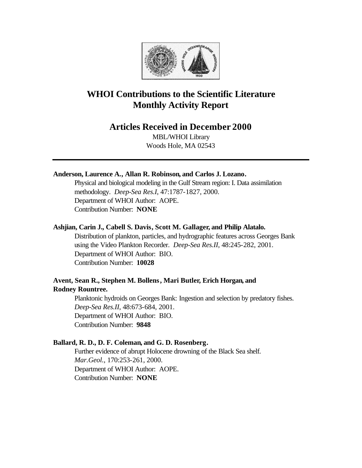

# **WHOI Contributions to the Scientific Literature Monthly Activity Report**

# **Articles Received in December 2000**

MBL/WHOI Library Woods Hole, MA 02543

# **Anderson, Laurence A., Allan R. Robinson, and Carlos J. Lozano.**

Physical and biological modeling in the Gulf Stream region: I. Data assimilation methodology. *Deep-Sea Res.I*, 47:1787-1827, 2000. Department of WHOI Author: AOPE. Contribution Number: **NONE**

# **Ashjian, Carin J., Cabell S. Davis, Scott M. Gallager, and Philip Alatalo.**

Distribution of plankton, particles, and hydrographic features across Georges Bank using the Video Plankton Recorder. *Deep-Sea Res.II*, 48:245-282, 2001. Department of WHOI Author: BIO. Contribution Number: **10028**

# **Avent, Sean R., Stephen M. Bollens, Mari Butler, Erich Horgan, and Rodney Rountree.**

Planktonic hydroids on Georges Bank: Ingestion and selection by predatory fishes. *Deep-Sea Res.II*, 48:673-684, 2001. Department of WHOI Author: BIO. Contribution Number: **9848**

# **Ballard, R. D., D. F. Coleman, and G. D. Rosenberg.**

Further evidence of abrupt Holocene drowning of the Black Sea shelf. *Mar.Geol.*, 170:253-261, 2000. Department of WHOI Author: AOPE. Contribution Number: **NONE**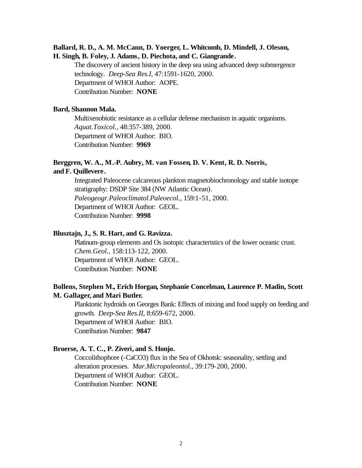# **Ballard, R. D., A. M. McCann, D. Yoerger, L. Whitcomb, D. Mindell, J. Oleson, H. Singh, B. Foley, J. Adams, D. Piechota, and C. Giangrande.**

The discovery of ancient history in the deep sea using advanced deep submergence technology. *Deep-Sea Res.I*, 47:1591-1620, 2000. Department of WHOI Author: AOPE. Contribution Number: **NONE**

#### **Bard, Shannon Mala.**

Multixenobiotic resistance as a cellular defense mechanism in aquatic organisms. *Aquat.Toxicol.*, 48:357-389, 2000. Department of WHOI Author: BIO. Contribution Number: **9969**

# **Berggren, W. A., M.-P. Aubry, M. van Fossen, D. V. Kent, R. D. Norris, and F. Quillevere.**

Integrated Paleocene calcareous plankton magnetobiochronology and stable isotope stratigraphy: DSDP Site 384 (NW Atlantic Ocean). *Paleogeogr.Paleoclimatol.Paleoecol.*, 159:1-51, 2000. Department of WHOI Author: GEOL. Contribution Number: **9998**

# **Blusztajn, J., S. R. Hart, and G. Ravizza.**

Platinum-group elements and Os isotopic characteristics of the lower oceanic crust. *Chem.Geol.*, 158:113-122, 2000. Department of WHOI Author: GEOL. Contribution Number: **NONE**

# **Bollens, Stephen M., Erich Horgan, Stephanie Concelman, Laurence P. Madin, Scott M. Gallager, and Mari Butler.**

Planktonic hydroids on Georges Bank: Effects of mixing and food supply on feeding and growth. *Deep-Sea Res.II*, 8:659-672, 2000. Department of WHOI Author: BIO. Contribution Number: **9847**

### **Broerse, A. T. C., P. Ziveri, and S. Honjo.**

Coccolithophore (-CaCO3) flux in the Sea of Okhotsk: seasonality, settling and alteration processes. *Mar.Micropaleontol.*, 39:179-200, 2000. Department of WHOI Author: GEOL. Contribution Number: **NONE**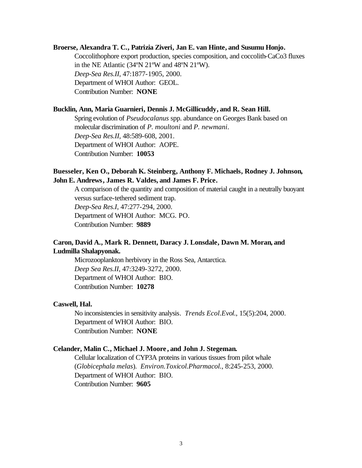### **Broerse, Alexandra T. C., Patrizia Ziveri, Jan E. van Hinte, and Susumu Honjo.**

Coccolithophore export production, species composition, and coccolith-CaCo3 fluxes in the NE Atlantic (34ºN 21ºW and 48ºN 21ºW). *Deep-Sea Res.II*, 47:1877-1905, 2000. Department of WHOI Author: GEOL. Contribution Number: **NONE**

#### **Bucklin, Ann, Maria Guarnieri, Dennis J. McGillicuddy, and R. Sean Hill.**

Spring evolution of *Pseudocalanus* spp. abundance on Georges Bank based on molecular discrimination of *P. moultoni* and *P. newmani*. *Deep-Sea Res.II*, 48:589-608, 2001. Department of WHOI Author: AOPE. Contribution Number: **10053**

# **Buesseler, Ken O., Deborah K. Steinberg, Anthony F. Michaels, Rodney J. Johnson, John E. Andrews, James R. Valdes, and James F. Price.**

A comparison of the quantity and composition of material caught in a neutrally buoyant versus surface-tethered sediment trap. *Deep-Sea Res.I*, 47:277-294, 2000. Department of WHOI Author: MCG. PO. Contribution Number: **9889**

# **Caron, David A., Mark R. Dennett, Daracy J. Lonsdale, Dawn M. Moran, and Ludmilla Shalapyonak.**

Microzooplankton herbivory in the Ross Sea, Antarctica. *Deep Sea Res.II*, 47:3249-3272, 2000. Department of WHOI Author: BIO. Contribution Number: **10278**

#### **Caswell, Hal.**

No inconsistencies in sensitivity analysis. *Trends Ecol.Evol.*, 15(5):204, 2000. Department of WHOI Author: BIO. Contribution Number: **NONE**

### **Celander, Malin C., Michael J. Moore , and John J. Stegeman.**

Cellular localization of CYP3A proteins in various tissues from pilot whale (*Globicephala melas*). *Environ.Toxicol.Pharmacol.*, 8:245-253, 2000. Department of WHOI Author: BIO. Contribution Number: **9605**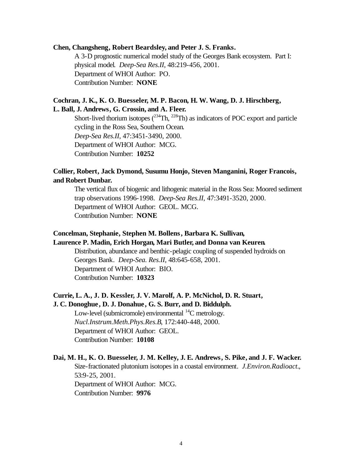#### **Chen, Changsheng, Robert Beardsley, and Peter J. S. Franks.**

A 3-D prognostic numerical model study of the Georges Bank ecosystem. Part I: physical model. *Deep-Sea Res.II*, 48:219-456, 2001. Department of WHOI Author: PO. Contribution Number: **NONE**

### **Cochran, J. K., K. O. Buesseler, M. P. Bacon, H. W. Wang, D. J. Hirschberg,**

### **L. Ball, J. Andrews, G. Crossin, and A. Fleer.**

Short-lived thorium isotopes  $(^{234}Th, ^{228}Th)$  as indicators of POC export and particle cycling in the Ross Sea, Southern Ocean. *Deep-Sea Res.II*, 47:3451-3490, 2000. Department of WHOI Author: MCG. Contribution Number: **10252**

# **Collier, Robert, Jack Dymond, Susumu Honjo, Steven Manganini, Roger Francois, and Robert Dunbar.**

The vertical flux of biogenic and lithogenic material in the Ross Sea: Moored sediment trap observations 1996-1998. *Deep-Sea Res.II*, 47:3491-3520, 2000. Department of WHOI Author: GEOL. MCG. Contribution Number: **NONE**

# **Concelman, Stephanie, Stephen M. Bollens, Barbara K. Sullivan,**

# **Laurence P. Madin, Erich Horgan, Mari Butler, and Donna van Keuren.**

Distribution, abundance and benthic-pelagic coupling of suspended hydroids on Georges Bank. *Deep-Sea. Res.II*, 48:645-658, 2001. Department of WHOI Author: BIO. Contribution Number: **10323**

# **Currie, L. A., J. D. Kessler, J. V. Marolf, A. P. McNichol, D. R. Stuart,**

#### **J. C. Donoghue, D. J. Donahue, G. S. Burr, and D. Biddulph.**

Low-level (submicromole) environmental  $^{14}$ C metrology. *Nucl.Instrum.Meth.Phys.Res.B*, 172:440-448, 2000. Department of WHOI Author: GEOL. Contribution Number: **10108**

# **Dai, M. H., K. O. Buesseler, J. M. Kelley, J. E. Andrews, S. Pike, and J. F. Wacker.** Size-fractionated plutonium isotopes in a coastal environment. *J.Environ.Radioact.*, 53:9-25, 2001. Department of WHOI Author: MCG. Contribution Number: **9976**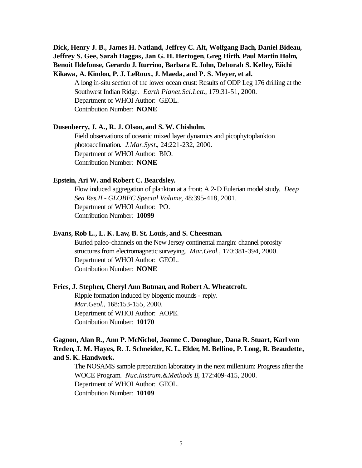# **Dick, Henry J. B., James H. Natland, Jeffrey C. Alt, Wolfgang Bach, Daniel Bideau, Jeffrey S. Gee, Sarah Haggas, Jan G. H. Hertogen, Greg Hirth, Paul Martin Holm, Benoit Ildefonse, Gerardo J. Iturrino, Barbara E. John, Deborah S. Kelley, Eiichi Kikawa, A. Kindon, P. J. LeRoux, J. Maeda, and P. S. Meyer, et al.**

A long in-situ section of the lower ocean crust: Results of ODP Leg 176 drilling at the Southwest Indian Ridge. *Earth Planet.Sci.Lett.*, 179:31-51, 2000. Department of WHOI Author: GEOL. Contribution Number: **NONE**

#### **Dusenberry, J. A., R. J. Olson, and S. W. Chisholm.**

Field observations of oceanic mixed layer dynamics and picophytoplankton photoacclimation. *J.Mar.Syst.*, 24:221-232, 2000. Department of WHOI Author: BIO. Contribution Number: **NONE**

### **Epstein, Ari W. and Robert C. Beardsley.**

Flow induced aggregation of plankton at a front: A 2-D Eulerian model study. *Deep Sea Res.II - GLOBEC Special Volume*, 48:395-418, 2001. Department of WHOI Author: PO. Contribution Number: **10099**

# **Evans, Rob L., L. K. Law, B. St. Louis, and S. Cheesman.**

Buried paleo-channels on the New Jersey continental margin: channel porosity structures from electromagnetic surveying. *Mar.Geol.*, 170:381-394, 2000. Department of WHOI Author: GEOL. Contribution Number: **NONE**

#### **Fries, J. Stephen, Cheryl Ann Butman, and Robert A. Wheatcroft.**

Ripple formation induced by biogenic mounds - reply. *Mar.Geol.*, 168:153-155, 2000. Department of WHOI Author: AOPE. Contribution Number: **10170**

# **Gagnon, Alan R., Ann P. McNichol, Joanne C. Donoghue, Dana R. Stuart, Karl von Reden, J. M. Hayes, R. J. Schneider, K. L. Elder, M. Bellino, P. Long, R. Beaudette, and S. K. Handwork.**

The NOSAMS sample preparation laboratory in the next millenium: Progress after the WOCE Program. *Nuc.Instrum.&Methods B*, 172:409-415, 2000. Department of WHOI Author: GEOL. Contribution Number: **10109**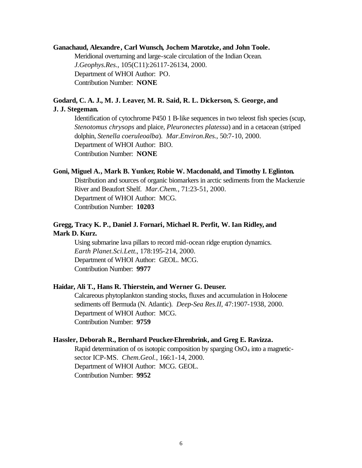### **Ganachaud, Alexandre, Carl Wunsch, Jochem Marotzke, and John Toole.**

Meridional overturning and large-scale circulation of the Indian Ocean. *J.Geophys.Res.*, 105(C11):26117-26134, 2000. Department of WHOI Author: PO. Contribution Number: **NONE**

# **Godard, C. A. J., M. J. Leaver, M. R. Said, R. L. Dickerson, S. George, and J. J. Stegeman.**

Identification of cytochrome P450 1 B-like sequences in two teleost fish species (scup, *Stenotomus chrysops* and plaice, *Pleuronectes platessa*) and in a cetacean (striped dolphin, *Stenella coeruleoalba*). *Mar.Environ.Res.*, 50:7-10, 2000. Department of WHOI Author: BIO. Contribution Number: **NONE**

#### **Goni, Miguel A., Mark B. Yunker, Robie W. Macdonald, and Timothy I. Eglinton.**

Distribution and sources of organic biomarkers in arctic sediments from the Mackenzie River and Beaufort Shelf. *Mar.Chem.*, 71:23-51, 2000. Department of WHOI Author: MCG. Contribution Number: **10203**

# **Gregg, Tracy K. P., Daniel J. Fornari, Michael R. Perfit, W. Ian Ridley, and Mark D. Kurz.**

Using submarine lava pillars to record mid-ocean ridge eruption dynamics. *Earth Planet.Sci.Lett.*, 178:195-214, 2000. Department of WHOI Author: GEOL. MCG. Contribution Number: **9977**

### **Haidar, Ali T., Hans R. Thierstein, and Werner G. Deuser.**

Calcareous phytoplankton standing stocks, fluxes and accumulation in Holocene sediments off Bermuda (N. Atlantic). *Deep-Sea Res.II*, 47:1907-1938, 2000. Department of WHOI Author: MCG. Contribution Number: **9759**

#### **Hassler, Deborah R., Bernhard Peucker-Ehrenbrink, and Greg E. Ravizza.**

Rapid determination of os isotopic composition by sparging  $OsO<sub>4</sub>$  into a magneticsector ICP-MS. *Chem.Geol.*, 166:1-14, 2000. Department of WHOI Author: MCG. GEOL. Contribution Number: **9952**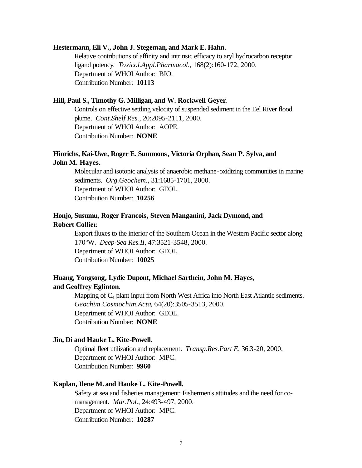#### **Hestermann, Eli V., John J. Stegeman, and Mark E. Hahn.**

Relative contributions of affinity and intrinsic efficacy to aryl hydrocarbon receptor ligand potency. *Toxicol.Appl.Pharmacol.*, 168(2):160-172, 2000. Department of WHOI Author: BIO. Contribution Number: **10113**

### **Hill, Paul S., Timothy G. Milligan, and W. Rockwell Geyer.**

Controls on effective settling velocity of suspended sediment in the Eel River flood plume. *Cont.Shelf Res.*, 20:2095-2111, 2000. Department of WHOI Author: AOPE. Contribution Number: **NONE**

# **Hinrichs, Kai-Uwe, Roger E. Summons, Victoria Orphan, Sean P. Sylva, and John M. Hayes.**

Molecular and isotopic analysis of anaerobic methane-oxidizing communities in marine sediments. *Org.Geochem.*, 31:1685-1701, 2000. Department of WHOI Author: GEOL. Contribution Number: **10256**

# **Honjo, Susumu, Roger Francois, Steven Manganini, Jack Dymond, and Robert Collier.**

Export fluxes to the interior of the Southern Ocean in the Western Pacific sector along 170ºW. *Deep-Sea Res.II*, 47:3521-3548, 2000. Department of WHOI Author: GEOL. Contribution Number: **10025**

# **Huang, Yongsong, Lydie Dupont, Michael Sarthein, John M. Hayes, and Geoffrey Eglinton.**

Mapping of  $C_4$  plant input from North West Africa into North East Atlantic sediments. *Geochim.Cosmochim.Acta*, 64(20):3505-3513, 2000. Department of WHOI Author: GEOL. Contribution Number: **NONE**

#### **Jin, Di and Hauke L. Kite-Powell.**

Optimal fleet utilization and replacement. *Transp.Res.Part E*, 36:3-20, 2000. Department of WHOI Author: MPC. Contribution Number: **9960**

### **Kaplan, Ilene M. and Hauke L. Kite-Powell.**

Safety at sea and fisheries management: Fishermen's attitudes and the need for comanagement. *Mar.Pol.*, 24:493-497, 2000. Department of WHOI Author: MPC. Contribution Number: **10287**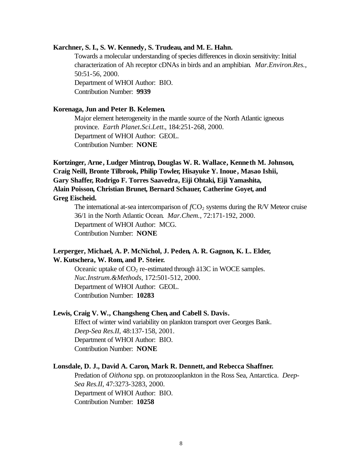#### **Karchner, S. I., S. W. Kennedy, S. Trudeau, and M. E. Hahn.**

Towards a molecular understanding of species differences in dioxin sensitivity: Initial characterization of Ah receptor cDNAs in birds and an amphibian. *Mar.Environ.Res.*, 50:51-56, 2000. Department of WHOI Author: BIO. Contribution Number: **9939**

### **Korenaga, Jun and Peter B. Kelemen.**

Major element heterogeneity in the mantle source of the North Atlantic igneous province. *Earth Planet.Sci.Lett.*, 184:251-268, 2000. Department of WHOI Author: GEOL. Contribution Number: **NONE**

**Kortzinger, Arne, Ludger Mintrop, Douglas W. R. Wallace, Kenneth M. Johnson, Craig Neill, Bronte Tilbrook, Philip Towler, Hisayuke Y. Inoue, Masao Ishii, Gary Shaffer, Rodrigo F. Torres Saavedra, Eiji Ohtaki, Eiji Yamashita, Alain Poisson, Christian Brunet, Bernard Schauer, Catherine Goyet, and Greg Eischeid.**

The international at-sea intercomparison of  $fCO_2$  systems during the R/V Meteor cruise 36/1 in the North Atlantic Ocean. *Mar.Chem.*, 72:171-192, 2000. Department of WHOI Author: MCG. Contribution Number: **NONE**

### **Lerperger, Michael, A. P. McNichol, J. Peden, A. R. Gagnon, K. L. Elder, W. Kutschera, W. Rom, and P. Steier.**

Oceanic uptake of  $CO<sub>2</sub>$  re-estimated through ä13C in WOCE samples. *Nuc.Instrum.&Methods*, 172:501-512, 2000. Department of WHOI Author: GEOL. Contribution Number: **10283**

#### **Lewis, Craig V. W., Changsheng Chen, and Cabell S. Davis.**

Effect of winter wind variability on plankton transport over Georges Bank. *Deep-Sea Res.II*, 48:137-158, 2001. Department of WHOI Author: BIO. Contribution Number: **NONE**

#### **Lonsdale, D. J., David A. Caron, Mark R. Dennett, and Rebecca Shaffner.**

Predation of *Oithona* spp. on protozooplankton in the Ross Sea, Antarctica. *Deep-Sea Res.II*, 47:3273-3283, 2000. Department of WHOI Author: BIO. Contribution Number: **10258**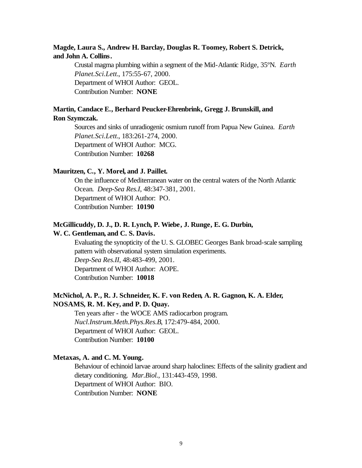# **Magde, Laura S., Andrew H. Barclay, Douglas R. Toomey, Robert S. Detrick, and John A. Collins.**

Crustal magma plumbing within a segment of the Mid-Atlantic Ridge, 35ºN. *Earth Planet.Sci.Lett.*, 175:55-67, 2000. Department of WHOI Author: GEOL. Contribution Number: **NONE**

# **Martin, Candace E., Berhard Peucker-Ehrenbrink, Gregg J. Brunskill, and Ron Szymczak.**

Sources and sinks of unradiogenic osmium runoff from Papua New Guinea. *Earth Planet.Sci.Lett.*, 183:261-274, 2000. Department of WHOI Author: MCG. Contribution Number: **10268**

# **Mauritzen, C., Y. Morel, and J. Paillet.**

On the influence of Mediterranean water on the central waters of the North Atlantic Ocean. *Deep-Sea Res.I*, 48:347-381, 2001. Department of WHOI Author: PO. Contribution Number: **10190**

#### **McGillicuddy, D. J., D. R. Lynch, P. Wiebe, J. Runge, E. G. Durbin,**

### **W. C. Gentleman, and C. S. Davis.**

Evaluating the synopticity of the U. S. GLOBEC Georges Bank broad-scale sampling pattern with observational system simulation experiments. *Deep-Sea Res.II*, 48:483-499, 2001. Department of WHOI Author: AOPE. Contribution Number: **10018**

# **McNichol, A. P., R. J. Schneider, K. F. von Reden, A. R. Gagnon, K. A. Elder, NOSAMS, R. M. Key, and P. D. Quay.**

Ten years after - the WOCE AMS radiocarbon program. *Nucl.Instrum.Meth.Phys.Res.B*, 172:479-484, 2000. Department of WHOI Author: GEOL. Contribution Number: **10100**

### **Metaxas, A. and C. M. Young.**

Behaviour of echinoid larvae around sharp haloclines: Effects of the salinity gradient and dietary conditioning. *Mar.Biol.*, 131:443-459, 1998. Department of WHOI Author: BIO. Contribution Number: **NONE**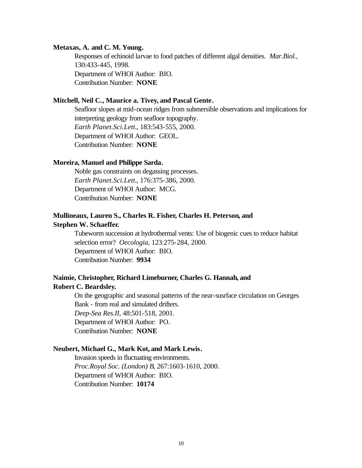#### **Metaxas, A. and C. M. Young.**

Responses of echinoid larvae to food patches of different algal densities. *Mar.Biol.*, 130:433-445, 1998. Department of WHOI Author: BIO. Contribution Number: **NONE**

# **Mitchell, Neil C., Maurice a. Tivey, and Pascal Gente.**

Seafloor slopes at mid-ocean ridges from submersible observations and implications for interpreting geology from seafloor topography. *Earth Planet.Sci.Lett.*, 183:543-555, 2000. Department of WHOI Author: GEOL. Contribution Number: **NONE**

### **Moreira, Manuel and Philippe Sarda.**

Noble gas constraints on degassing processes. *Earth Planet.Sci.Lett.*, 176:375-386, 2000. Department of WHOI Author: MCG. Contribution Number: **NONE**

# **Mullineaux, Lauren S., Charles R. Fisher, Charles H. Peterson, and Stephen W. Schaeffer.**

Tubeworm succession at hydrothermal vents: Use of biogenic cues to reduce habitat selection error? *Oecologia*, 123:275-284, 2000. Department of WHOI Author: BIO. Contribution Number: **9934**

# **Naimie, Christopher, Richard Limeburner, Charles G. Hannah, and Robert C. Beardsley.**

On the geographic and seasonal patterns of the near-susrface circulation on Georges Bank - from real and simulated drifters. *Deep-Sea Res.II*, 48:501-518, 2001. Department of WHOI Author: PO. Contribution Number: **NONE**

### **Neubert, Michael G., Mark Kot, and Mark Lewis.**

Invasion speeds in fluctuating environments. *Proc.Royal Soc. (London) B*, 267:1603-1610, 2000. Department of WHOI Author: BIO. Contribution Number: **10174**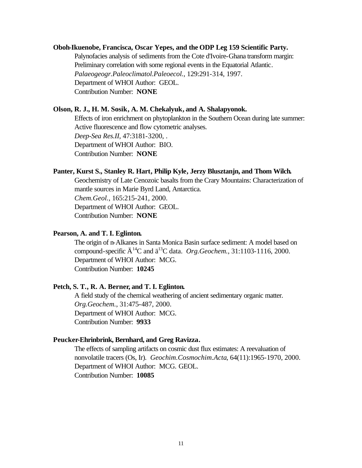### **Oboh-Ikuenobe, Francisca, Oscar Yepes, and the ODP Leg 159 Scientific Party.**

Palynofacies analysis of sediments from the Cote d'Ivoire-Ghana transform margin: Preliminary correlation with some regional events in the Equatorial Atlantic. *Palaeogeogr.Paleoclimatol.Paleoecol.*, 129:291-314, 1997. Department of WHOI Author: GEOL. Contribution Number: **NONE**

#### **Olson, R. J., H. M. Sosik, A. M. Chekalyuk, and A. Shalapyonok.**

Effects of iron enrichment on phytoplankton in the Southern Ocean during late summer: Active fluorescence and flow cytometric analyses. *Deep-Sea Res.II*, 47:3181-3200, . Department of WHOI Author: BIO. Contribution Number: **NONE**

#### **Panter, Kurst S., Stanley R. Hart, Philip Kyle, Jerzy Blusztanjn, and Thom Wilch.**

Geochemistry of Late Cenozoic basalts from the Crary Mountains: Characterization of mantle sources in Marie Byrd Land, Antarctica. *Chem.Geol.*, 165:215-241, 2000. Department of WHOI Author: GEOL. Contribution Number: **NONE**

### **Pearson, A. and T. I. Eglinton.**

The origin of n-Alkanes in Santa Monica Basin surface sediment: A model based on compound-specific  $\ddot{A}^{14}C$  and  $\ddot{a}^{13}C$  data. *Org.Geochem.*, 31:1103-1116, 2000. Department of WHOI Author: MCG. Contribution Number: **10245**

# **Petch, S. T., R. A. Berner, and T. I. Eglinton.**

A field study of the chemical weathering of ancient sedimentary organic matter. *Org.Geochem.*, 31:475-487, 2000. Department of WHOI Author: MCG. Contribution Number: **9933**

#### **Peucker-Ehrinbrink, Bernhard, and Greg Ravizza.**

The effects of sampling artifacts on cosmic dust flux estimates: A reevaluation of nonvolatile tracers (Os, Ir). *Geochim.Cosmochim.Acta*, 64(11):1965-1970, 2000. Department of WHOI Author: MCG. GEOL. Contribution Number: **10085**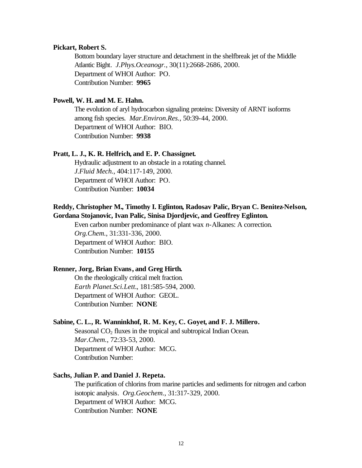#### **Pickart, Robert S.**

Bottom boundary layer structure and detachment in the shelfbreak jet of the Middle Atlantic Bight. *J.Phys.Oceanogr.*, 30(11):2668-2686, 2000. Department of WHOI Author: PO. Contribution Number: **9965**

# **Powell, W. H. and M. E. Hahn.**

The evolution of aryl hydrocarbon signaling proteins: Diversity of ARNT isoforms among fish species. *Mar.Environ.Res.*, 50:39-44, 2000. Department of WHOI Author: BIO. Contribution Number: **9938**

### **Pratt, L. J., K. R. Helfrich, and E. P. Chassignet.**

Hydraulic adjustment to an obstacle in a rotating channel. *J.Fluid Mech.*, 404:117-149, 2000. Department of WHOI Author: PO. Contribution Number: **10034**

# **Reddy, Christopher M., Timothy I. Eglinton, Radosav Palic, Bryan C. Benitez-Nelson, Gordana Stojanovic, Ivan Palic, Sinisa Djordjevic, and Geoffrey Eglinton.**

Even carbon number predominance of plant wax *n*-Alkanes: A correction. *Org.Chem.*, 31:331-336, 2000. Department of WHOI Author: BIO. Contribution Number: **10155**

#### **Renner, Jorg, Brian Evans, and Greg Hirth.**

On the rheologically critical melt fraction. *Earth Planet.Sci.Lett.*, 181:585-594, 2000. Department of WHOI Author: GEOL. Contribution Number: **NONE**

### **Sabine, C. L., R. Wanninkhof, R. M. Key, C. Goyet, and F. J. Millero.**

Seasonal  $CO<sub>2</sub>$  fluxes in the tropical and subtropical Indian Ocean. *Mar.Chem.*, 72:33-53, 2000. Department of WHOI Author: MCG. Contribution Number:

### **Sachs, Julian P. and Daniel J. Repeta.**

The purification of chlorins from marine particles and sediments for nitrogen and carbon isotopic analysis. *Org.Geochem.*, 31:317-329, 2000. Department of WHOI Author: MCG. Contribution Number: **NONE**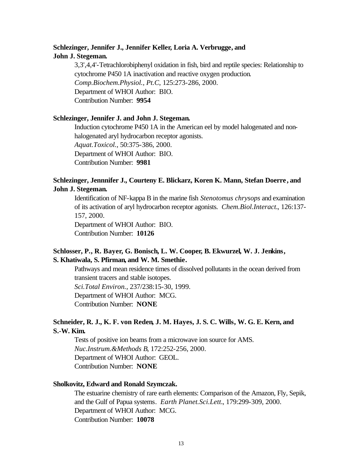# **Schlezinger, Jennifer J., Jennifer Keller, Loria A. Verbrugge, and John J. Stegeman.**

3,3',4,4'-Tetrachlorobiphenyl oxidation in fish, bird and reptile species: Relationship to cytochrome P450 1A inactivation and reactive oxygen production. *Comp.Biochem.Physiol., Pt.C*, 125:273-286, 2000. Department of WHOI Author: BIO. Contribution Number: **9954**

### **Schlezinger, Jennifer J. and John J. Stegeman.**

Induction cytochrome P450 1A in the American eel by model halogenated and nonhalogenated aryl hydrocarbon receptor agonists. *Aquat.Toxicol.*, 50:375-386, 2000. Department of WHOI Author: BIO. Contribution Number: **9981**

# **Schlezinger, Jennnifer J., Courteny E. Blickarz, Koren K. Mann, Stefan Doerre , and John J. Stegeman.**

Identification of NF-kappa B in the marine fish *Stenotomus chrysops* and examination of its activation of aryl hydrocarbon receptor agonists. *Chem.Biol.Interact.*, 126:137- 157, 2000.

Department of WHOI Author: BIO. Contribution Number: **10126**

# **Schlosser, P., R. Bayer, G. Bonisch, L. W. Cooper, B. Ekwurzel, W. J. Jenkins, S. Khatiwala, S. Pfirman, and W. M. Smethie.**

Pathways and mean residence times of dissolved pollutants in the ocean derived from transient tracers and stable isotopes. *Sci.Total Environ.*, 237/238:15-30, 1999.

Department of WHOI Author: MCG.

Contribution Number: **NONE**

# **Schneider, R. J., K. F. von Reden, J. M. Hayes, J. S. C. Wills, W. G. E. Kern, and S.-W. Kim.**

Tests of positive ion beams from a microwave ion source for AMS. *Nuc.Instrum.&Methods B*, 172:252-256, 2000. Department of WHOI Author: GEOL. Contribution Number: **NONE**

### **Sholkovitz, Edward and Ronald Szymczak.**

The estuarine chemistry of rare earth elements: Comparison of the Amazon, Fly, Sepik, and the Gulf of Papua systems. *Earth Planet.Sci.Lett.*, 179:299-309, 2000. Department of WHOI Author: MCG. Contribution Number: **10078**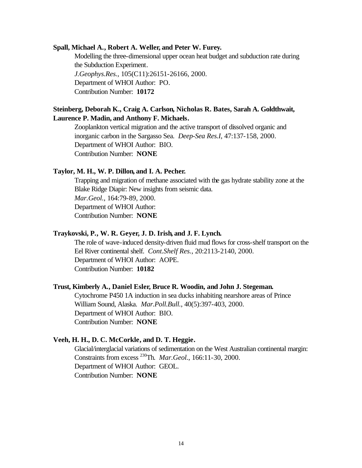#### **Spall, Michael A., Robert A. Weller, and Peter W. Furey.**

Modelling the three-dimensional upper ocean heat budget and subduction rate during the Subduction Experiment. *J.Geophys.Res.*, 105(C11):26151-26166, 2000. Department of WHOI Author: PO. Contribution Number: **10172**

# **Steinberg, Deborah K., Craig A. Carlson, Nicholas R. Bates, Sarah A. Goldthwait, Laurence P. Madin, and Anthony F. Michaels.**

Zooplankton vertical migration and the active transport of dissolved organic and inorganic carbon in the Sargasso Sea. *Deep-Sea Res.I*, 47:137-158, 2000. Department of WHOI Author: BIO. Contribution Number: **NONE**

#### **Taylor, M. H., W. P. Dillon, and I. A. Pecher.**

Trapping and migration of methane associated with the gas hydrate stability zone at the Blake Ridge Diapir: New insights from seismic data. *Mar.Geol.*, 164:79-89, 2000. Department of WHOI Author: Contribution Number: **NONE**

# **Traykovski, P., W. R. Geyer, J. D. Irish, and J. F. Lynch.**

The role of wave-induced density-driven fluid mud flows for cross-shelf transport on the Eel River continental shelf. *Cont.Shelf Res.*, 20:2113-2140, 2000. Department of WHOI Author: AOPE. Contribution Number: **10182**

### **Trust, Kimberly A., Daniel Esler, Bruce R. Woodin, and John J. Stegeman.**

Cytochrome P450 1A induction in sea ducks inhabiting nearshore areas of Prince William Sound, Alaska. *Mar.Poll.Bull.*, 40(5):397-403, 2000. Department of WHOI Author: BIO. Contribution Number: **NONE**

#### **Veeh, H. H., D. C. McCorkle, and D. T. Heggie.**

Glacial/interglacial variations of sedimentation on the West Australian continental margin: Constraints from excess <sup>230</sup>Th. *Mar.Geol.*, 166:11-30, 2000. Department of WHOI Author: GEOL. Contribution Number: **NONE**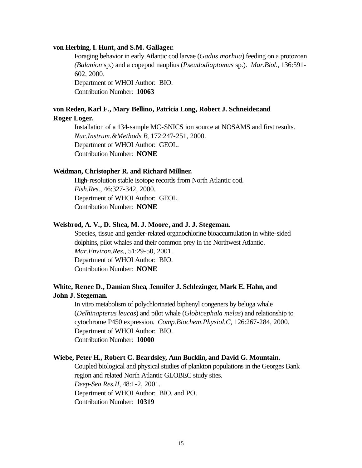#### **von Herbing, I. Hunt, and S.M. Gallager.**

Foraging behavior in early Atlantic cod larvae (*Gadus morhua*) feeding on a protozoan *(Balanion* sp.) and a copepod nauplius (*Pseudodiaptomus* sp.). *Mar.Biol.*, 136:591- 602, 2000. Department of WHOI Author: BIO.

Contribution Number: **10063**

### **von Reden, Karl F., Mary Bellino, Patricia Long, Robert J. Schneider,and Roger Loger.**

Installation of a 134-sample MC-SNICS ion source at NOSAMS and first results. *Nuc.Instrum.&Methods B*, 172:247-251, 2000. Department of WHOI Author: GEOL. Contribution Number: **NONE**

#### **Weidman, Christopher R. and Richard Millner.**

High-resolution stable isotope records from North Atlantic cod. *Fish.Res.*, 46:327-342, 2000. Department of WHOI Author: GEOL. Contribution Number: **NONE**

#### **Weisbrod, A. V., D. Shea, M. J. Moore , and J. J. Stegeman.**

Species, tissue and gender-related organochlorine bioaccumulation in white-sided dolphins, pilot whales and their common prey in the Northwest Atlantic. *Mar.Environ.Res.*, 51:29-50, 2001. Department of WHOI Author: BIO. Contribution Number: **NONE**

# **White, Renee D., Damian Shea, Jennifer J. Schlezinger, Mark E. Hahn, and John J. Stegeman.**

In vitro metabolism of polychlorinated biphenyl congeners by beluga whale (*Delhinapterus leucas*) and pilot whale (*Globicephala melas*) and relationship to cytochrome P450 expression. *Comp.Biochem.Physiol.C*, 126:267-284, 2000. Department of WHOI Author: BIO. Contribution Number: **10000**

#### **Wiebe, Peter H., Robert C. Beardsley, Ann Bucklin, and David G. Mountain.**

Coupled biological and physical studies of plankton populations in the Georges Bank region and related North Atlantic GLOBEC study sites. *Deep-Sea Res.II*, 48:1-2, 2001. Department of WHOI Author: BIO. and PO. Contribution Number: **10319**